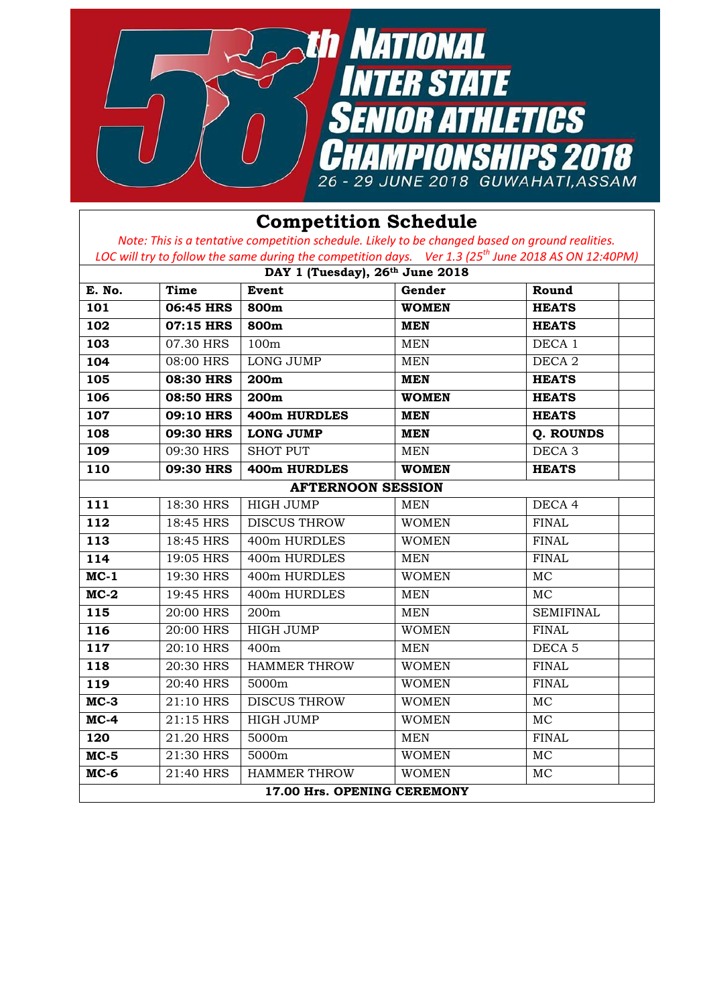

## **Competition Schedule**

*Note: This is a tentative competition schedule. Likely to be changed based on ground realities. LOC will try to follow the same during the competition days. Ver 1.3 (25 th June 2018 AS ON 12:40PM)*

| DAY 1 (Tuesday), 26th June 2018 |                  |                             |              |                   |  |
|---------------------------------|------------------|-----------------------------|--------------|-------------------|--|
| E. No.                          | Time             | Event                       | Gender       | Round             |  |
| 101                             | 06:45 HRS        | 800m                        | <b>WOMEN</b> | <b>HEATS</b>      |  |
| 102                             | 07:15 HRS        | 800m                        | <b>MEN</b>   | <b>HEATS</b>      |  |
| 103                             | 07.30 HRS        | 100m                        | <b>MEN</b>   | DECA <sub>1</sub> |  |
| 104                             | 08:00 HRS        | LONG JUMP                   | <b>MEN</b>   | DECA <sub>2</sub> |  |
| 105                             | 08:30 HRS        | 200m                        | <b>MEN</b>   | <b>HEATS</b>      |  |
| 106                             | <b>08:50 HRS</b> | 200m                        | <b>WOMEN</b> | <b>HEATS</b>      |  |
| 107                             | 09:10 HRS        | 400m HURDLES                | <b>MEN</b>   | <b>HEATS</b>      |  |
| 108                             | 09:30 HRS        | <b>LONG JUMP</b>            | <b>MEN</b>   | Q. ROUNDS         |  |
| 109                             | 09:30 HRS        | SHOT PUT                    | <b>MEN</b>   | DECA <sub>3</sub> |  |
| 110                             | 09:30 HRS        | 400m HURDLES                | <b>WOMEN</b> | <b>HEATS</b>      |  |
|                                 |                  | <b>AFTERNOON SESSION</b>    |              |                   |  |
| 111                             | 18:30 HRS        | <b>HIGH JUMP</b>            | <b>MEN</b>   | DECA 4            |  |
| 112                             | 18:45 HRS        | <b>DISCUS THROW</b>         | <b>WOMEN</b> | <b>FINAL</b>      |  |
| 113                             | 18:45 HRS        | 400m HURDLES                | <b>WOMEN</b> | <b>FINAL</b>      |  |
| 114                             | 19:05 HRS        | 400m HURDLES                | <b>MEN</b>   | <b>FINAL</b>      |  |
| $MC-1$                          | 19:30 HRS        | 400m HURDLES                | <b>WOMEN</b> | <b>MC</b>         |  |
| $MC-2$                          | 19:45 HRS        | 400m HURDLES                | <b>MEN</b>   | MC.               |  |
| 115                             | 20:00 HRS        | 200m                        | <b>MEN</b>   | <b>SEMIFINAL</b>  |  |
| 116                             | 20:00 HRS        | <b>HIGH JUMP</b>            | <b>WOMEN</b> | <b>FINAL</b>      |  |
| 117                             | 20:10 HRS        | 400m                        | <b>MEN</b>   | DECA <sub>5</sub> |  |
| 118                             | 20:30 HRS        | <b>HAMMER THROW</b>         | <b>WOMEN</b> | <b>FINAL</b>      |  |
| 119                             | 20:40 HRS        | 5000m                       | <b>WOMEN</b> | <b>FINAL</b>      |  |
| $MC-3$                          | 21:10 HRS        | <b>DISCUS THROW</b>         | <b>WOMEN</b> | MC                |  |
| $MC-4$                          | 21:15 HRS        | <b>HIGH JUMP</b>            | <b>WOMEN</b> | <b>MC</b>         |  |
| 120                             | 21.20 HRS        | 5000m                       | <b>MEN</b>   | <b>FINAL</b>      |  |
| $MC-5$                          | 21:30 HRS        | 5000m                       | <b>WOMEN</b> | <b>MC</b>         |  |
| $MC-6$                          | 21:40 HRS        | <b>HAMMER THROW</b>         | <b>WOMEN</b> | MC                |  |
|                                 |                  | 17.00 Hrs. OPENING CEREMONY |              |                   |  |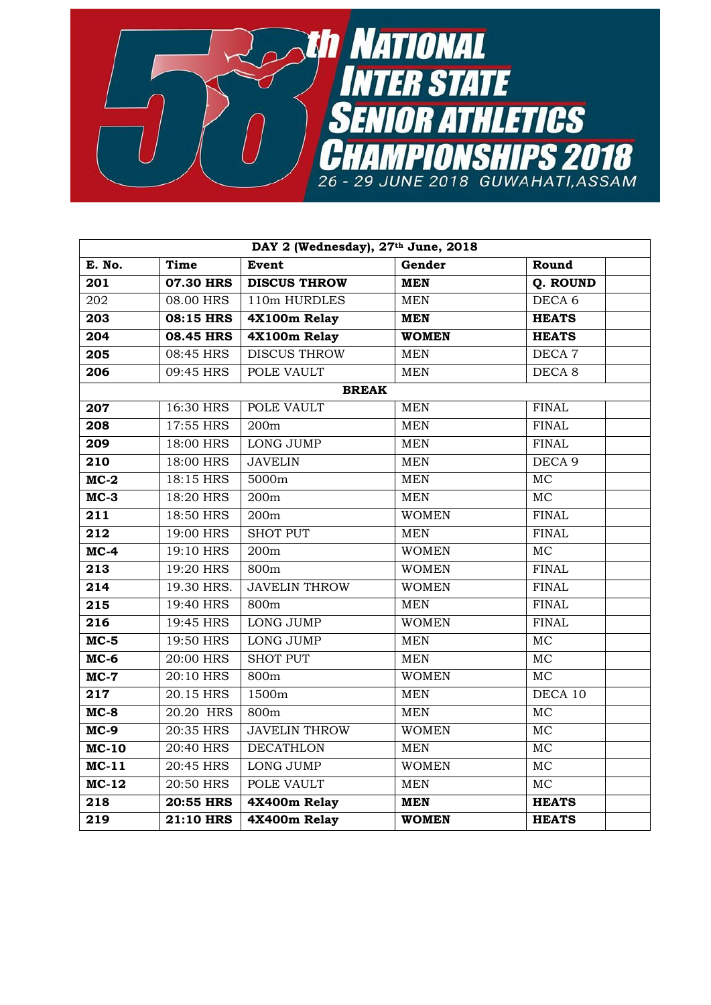

| DAY 2 (Wednesday), 27th June, 2018 |                  |                      |              |                   |  |
|------------------------------------|------------------|----------------------|--------------|-------------------|--|
| E. No.                             | <b>Time</b>      | <b>Event</b>         | Gender       | Round             |  |
| 201                                | <b>07.30 HRS</b> | <b>DISCUS THROW</b>  | <b>MEN</b>   | Q. ROUND          |  |
| 202                                | 08.00 HRS        | 110m HURDLES         | <b>MEN</b>   | DECA <sub>6</sub> |  |
| 203                                | 08:15 HRS        | 4X100m Relay         | <b>MEN</b>   | <b>HEATS</b>      |  |
| 204                                | <b>08.45 HRS</b> | 4X100m Relay         | <b>WOMEN</b> | <b>HEATS</b>      |  |
| 205                                | 08:45 HRS        | <b>DISCUS THROW</b>  | <b>MEN</b>   | DECA <sub>7</sub> |  |
| 206                                | 09:45 HRS        | POLE VAULT           | <b>MEN</b>   | DECA <sub>8</sub> |  |
|                                    |                  | <b>BREAK</b>         |              |                   |  |
| 207                                | 16:30 HRS        | POLE VAULT           | <b>MEN</b>   | <b>FINAL</b>      |  |
| 208                                | 17:55 HRS        | 200m                 | <b>MEN</b>   | <b>FINAL</b>      |  |
| 209                                | 18:00 HRS        | <b>LONG JUMP</b>     | <b>MEN</b>   | <b>FINAL</b>      |  |
| 210                                | 18:00 HRS        | <b>JAVELIN</b>       | <b>MEN</b>   | DECA <sub>9</sub> |  |
| $MC-2$                             | 18:15 HRS        | 5000m                | <b>MEN</b>   | MC                |  |
| $MC-3$                             | 18:20 HRS        | 200m                 | <b>MEN</b>   | $\overline{MC}$   |  |
| 211                                | 18:50 HRS        | 200m                 | <b>WOMEN</b> | <b>FINAL</b>      |  |
| $\overline{212}$                   | 19:00 HRS        | <b>SHOT PUT</b>      | <b>MEN</b>   | <b>FINAL</b>      |  |
| $MC-4$                             | 19:10 HRS        | 200m                 | <b>WOMEN</b> | <b>MC</b>         |  |
| 213                                | 19:20 HRS        | 800m                 | <b>WOMEN</b> | <b>FINAL</b>      |  |
| 214                                | 19.30 HRS.       | <b>JAVELIN THROW</b> | <b>WOMEN</b> | <b>FINAL</b>      |  |
| 215                                | 19:40 HRS        | 800m                 | <b>MEN</b>   | <b>FINAL</b>      |  |
| $\overline{216}$                   | 19:45 HRS        | <b>LONG JUMP</b>     | <b>WOMEN</b> | <b>FINAL</b>      |  |
| $MC-5$                             | 19:50 HRS        | <b>LONG JUMP</b>     | <b>MEN</b>   | <b>MC</b>         |  |
| $MC-6$                             | 20:00 HRS        | <b>SHOT PUT</b>      | <b>MEN</b>   | <b>MC</b>         |  |
| $MC-7$                             | 20:10 HRS        | 800m                 | <b>WOMEN</b> | <b>MC</b>         |  |
| 217                                | 20.15 HRS        | 1500m                | <b>MEN</b>   | DECA 10           |  |
| $MC-8$                             | 20.20 HRS        | 800m                 | <b>MEN</b>   | MC                |  |
| $MC-9$                             | $20:35$ HRS      | <b>JAVELIN THROW</b> | <b>WOMEN</b> | <b>MC</b>         |  |
| $MC-10$                            | $20:40$ HRS      | <b>DECATHLON</b>     | <b>MEN</b>   | MC                |  |
| $MC-11$                            | 20:45 HRS        | <b>LONG JUMP</b>     | <b>WOMEN</b> | <b>MC</b>         |  |
| $MC-12$                            | 20:50 HRS        | POLE VAULT           | <b>MEN</b>   | <b>MC</b>         |  |
| 218                                | <b>20:55 HRS</b> | 4X400m Relay         | <b>MEN</b>   | <b>HEATS</b>      |  |
| 219                                | <b>21:10 HRS</b> | 4X400m Relay         | <b>WOMEN</b> | <b>HEATS</b>      |  |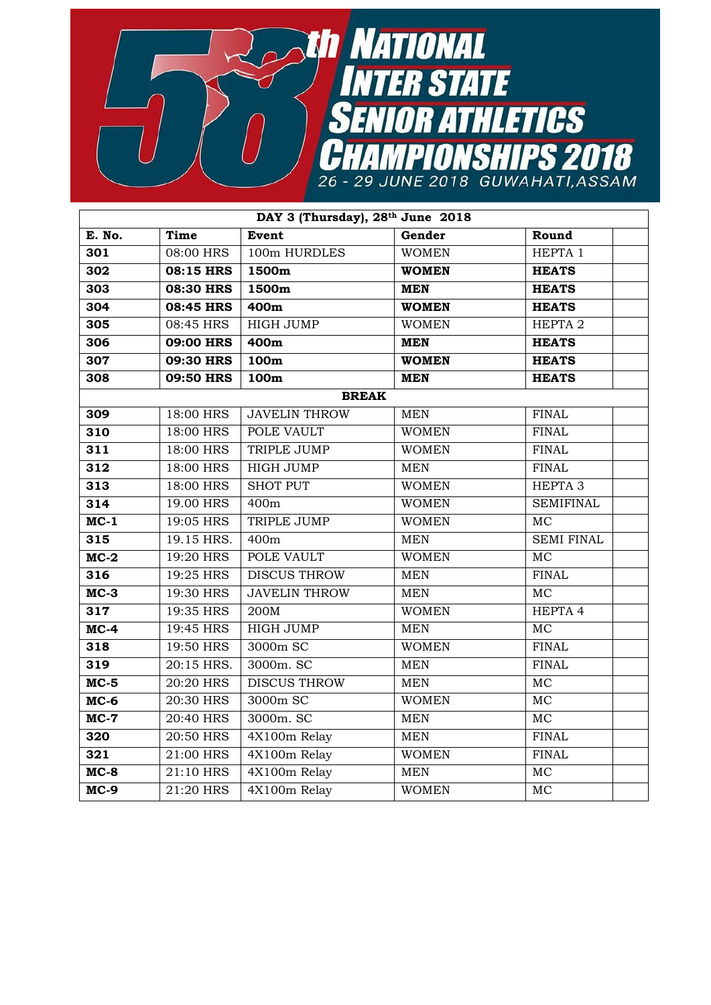

| DAY 3 (Thursday), 28th June 2018 |            |                      |              |                    |  |  |
|----------------------------------|------------|----------------------|--------------|--------------------|--|--|
| E. No.                           | Time       | Event                | Gender       | Round              |  |  |
| 301                              | 08:00 HRS  | 100m HURDLES         | <b>WOMEN</b> | HEPTA 1            |  |  |
| 302                              | 08:15 HRS  | 1500m                | <b>WOMEN</b> | <b>HEATS</b>       |  |  |
| 303                              | 08:30 HRS  | 1500m                | <b>MEN</b>   | <b>HEATS</b>       |  |  |
| 304                              | 08:45 HRS  | 400m                 | <b>WOMEN</b> | <b>HEATS</b>       |  |  |
| 305                              | 08:45 HRS  | <b>HIGH JUMP</b>     | <b>WOMEN</b> | HEPTA <sub>2</sub> |  |  |
| 306                              | 09:00 HRS  | 400m                 | <b>MEN</b>   | <b>HEATS</b>       |  |  |
| 307                              | 09:30 HRS  | 100m                 | <b>WOMEN</b> | <b>HEATS</b>       |  |  |
| 308                              | 09:50 HRS  | 100m                 | <b>MEN</b>   | <b>HEATS</b>       |  |  |
| <b>BREAK</b>                     |            |                      |              |                    |  |  |
| 309                              | 18:00 HRS  | <b>JAVELIN THROW</b> | <b>MEN</b>   | <b>FINAL</b>       |  |  |
| 310                              | 18:00 HRS  | POLE VAULT           | <b>WOMEN</b> | <b>FINAL</b>       |  |  |
| 311                              | 18:00 HRS  | TRIPLE JUMP          | <b>WOMEN</b> | <b>FINAL</b>       |  |  |
| 312                              | 18:00 HRS  | <b>HIGH JUMP</b>     | <b>MEN</b>   | <b>FINAL</b>       |  |  |
| 313                              | 18:00 HRS  | <b>SHOT PUT</b>      | <b>WOMEN</b> | HEPTA <sub>3</sub> |  |  |
| 314                              | 19.00 HRS  | 400m                 | <b>WOMEN</b> | <b>SEMIFINAL</b>   |  |  |
| $MC-1$                           | 19:05 HRS  | TRIPLE JUMP          | <b>WOMEN</b> | <b>MC</b>          |  |  |
| 315                              | 19.15 HRS. | 400m                 | <b>MEN</b>   | <b>SEMI FINAL</b>  |  |  |
| $MC-2$                           | 19:20 HRS  | POLE VAULT           | <b>WOMEN</b> | MC                 |  |  |
| 316                              | 19:25 HRS  | <b>DISCUS THROW</b>  | <b>MEN</b>   | <b>FINAL</b>       |  |  |
| $MC-3$                           | 19:30 HRS  | <b>JAVELIN THROW</b> | <b>MEN</b>   | MC                 |  |  |
| 317                              | 19:35 HRS  | 200M                 | <b>WOMEN</b> | HEPTA 4            |  |  |
| $MC-4$                           | 19:45 HRS  | <b>HIGH JUMP</b>     | <b>MEN</b>   | MC                 |  |  |
| 318                              | 19:50 HRS  | 3000m SC             | <b>WOMEN</b> | <b>FINAL</b>       |  |  |
| 319                              | 20:15 HRS. | 3000m. SC            | <b>MEN</b>   | <b>FINAL</b>       |  |  |
| $MC-5$                           | 20:20 HRS  | <b>DISCUS THROW</b>  | <b>MEN</b>   | MC                 |  |  |
| $MC-6$                           | 20:30 HRS  | 3000m SC             | <b>WOMEN</b> | <b>MC</b>          |  |  |
| $MC-7$                           | 20:40 HRS  | 3000m. SC            | <b>MEN</b>   | MC                 |  |  |
| 320                              | 20:50 HRS  | 4X100m Relay         | <b>MEN</b>   | <b>FINAL</b>       |  |  |
| 321                              | 21:00 HRS  | 4X100m Relay         | <b>WOMEN</b> | <b>FINAL</b>       |  |  |
| $MC-8$                           | 21:10 HRS  | 4X100m Relay         | <b>MEN</b>   | MC                 |  |  |
| $MC-9$                           | 21:20 HRS  | 4X100m Relay         | <b>WOMEN</b> | MC                 |  |  |